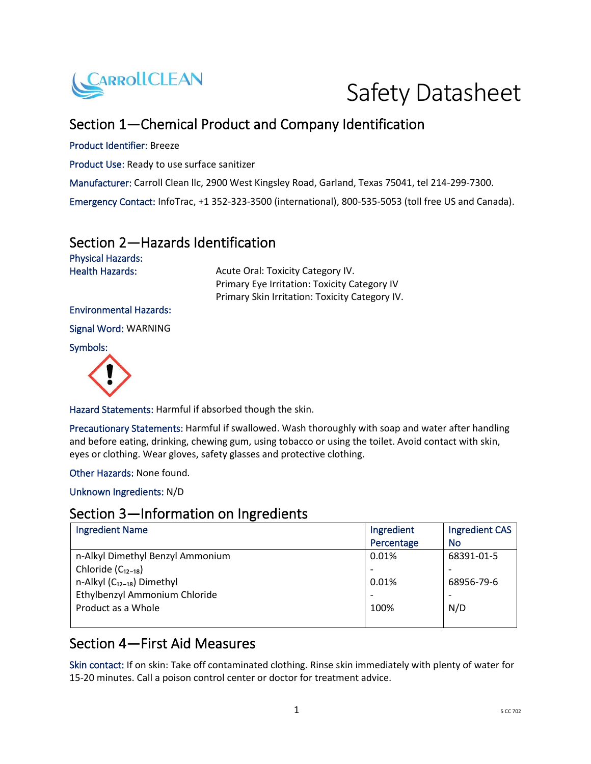

Safety Datasheet

# Section 1—Chemical Product and Company Identification

#### Product Identifier: Breeze

Product Use: Ready to use surface sanitizer

Manufacturer: Carroll Clean llc, 2900 West Kingsley Road, Garland, Texas 75041, tel 214-299-7300.

Emergency Contact: InfoTrac, +1 352-323-3500 (international), 800-535-5053 (toll free US and Canada).

#### Section 2—Hazards Identification

Physical Hazards:

Health Hazards: Acute Oral: Toxicity Category IV. Primary Eye Irritation: Toxicity Category IV Primary Skin Irritation: Toxicity Category IV.

#### Environmental Hazards:

Signal Word: WARNING

Symbols:



Hazard Statements: Harmful if absorbed though the skin.

Precautionary Statements: Harmful if swallowed. Wash thoroughly with soap and water after handling and before eating, drinking, chewing gum, using tobacco or using the toilet. Avoid contact with skin, eyes or clothing. Wear gloves, safety glasses and protective clothing.

Other Hazards: None found.

Unknown Ingredients: N/D

# Section 3—Information on Ingredients

| <b>Ingredient Name</b>           | Ingredient | Ingredient CAS |
|----------------------------------|------------|----------------|
|                                  | Percentage | No             |
| n-Alkyl Dimethyl Benzyl Ammonium | 0.01%      | 68391-01-5     |
| Chloride $(C_{12-18})$           |            |                |
| n-Alkyl $(C_{12-18})$ Dimethyl   | 0.01%      | 68956-79-6     |
| Ethylbenzyl Ammonium Chloride    |            |                |
| Product as a Whole               | 100%       | N/D            |
|                                  |            |                |

#### Section 4—First Aid Measures

Skin contact: If on skin: Take off contaminated clothing. Rinse skin immediately with plenty of water for 15-20 minutes. Call a poison control center or doctor for treatment advice.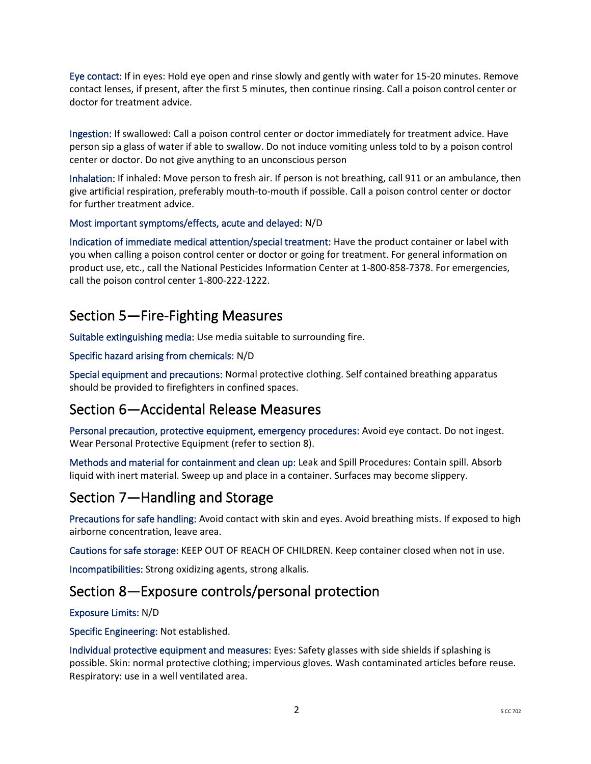Eye contact: If in eyes: Hold eye open and rinse slowly and gently with water for 15-20 minutes. Remove contact lenses, if present, after the first 5 minutes, then continue rinsing. Call a poison control center or doctor for treatment advice.

Ingestion: If swallowed: Call a poison control center or doctor immediately for treatment advice. Have person sip a glass of water if able to swallow. Do not induce vomiting unless told to by a poison control center or doctor. Do not give anything to an unconscious person

Inhalation: If inhaled: Move person to fresh air. If person is not breathing, call 911 or an ambulance, then give artificial respiration, preferably mouth-to-mouth if possible. Call a poison control center or doctor for further treatment advice.

#### Most important symptoms/effects, acute and delayed: N/D

Indication of immediate medical attention/special treatment: Have the product container or label with you when calling a poison control center or doctor or going for treatment. For general information on product use, etc., call the National Pesticides Information Center at 1-800-858-7378. For emergencies, call the poison control center 1-800-222-1222.

#### Section 5—Fire-Fighting Measures

Suitable extinguishing media: Use media suitable to surrounding fire.

Specific hazard arising from chemicals: N/D

Special equipment and precautions: Normal protective clothing. Self contained breathing apparatus should be provided to firefighters in confined spaces.

#### Section 6—Accidental Release Measures

Personal precaution, protective equipment, emergency procedures: Avoid eye contact. Do not ingest. Wear Personal Protective Equipment (refer to section 8).

Methods and material for containment and clean up: Leak and Spill Procedures: Contain spill. Absorb liquid with inert material. Sweep up and place in a container. Surfaces may become slippery.

## Section 7—Handling and Storage

Precautions for safe handling: Avoid contact with skin and eyes. Avoid breathing mists. If exposed to high airborne concentration, leave area.

Cautions for safe storage: KEEP OUT OF REACH OF CHILDREN. Keep container closed when not in use.

Incompatibilities: Strong oxidizing agents, strong alkalis.

#### Section 8—Exposure controls/personal protection

#### Exposure Limits: N/D

Specific Engineering: Not established.

Individual protective equipment and measures: Eyes: Safety glasses with side shields if splashing is possible. Skin: normal protective clothing; impervious gloves. Wash contaminated articles before reuse. Respiratory: use in a well ventilated area.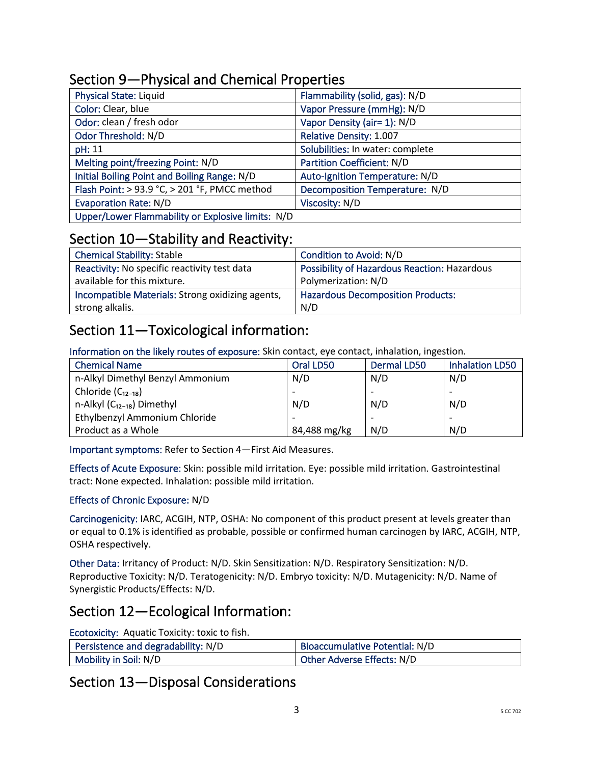| <b>Physical State: Liquid</b>                     | Flammability (solid, gas): N/D   |
|---------------------------------------------------|----------------------------------|
| Color: Clear, blue                                | Vapor Pressure (mmHg): N/D       |
| Odor: clean / fresh odor                          | Vapor Density (air= 1): N/D      |
| Odor Threshold: N/D                               | Relative Density: 1.007          |
| pH: 11                                            | Solubilities: In water: complete |
| Melting point/freezing Point: N/D                 | Partition Coefficient: N/D       |
| Initial Boiling Point and Boiling Range: N/D      | Auto-Ignition Temperature: N/D   |
| Flash Point: > 93.9 °C, > 201 °F, PMCC method     | Decomposition Temperature: N/D   |
| <b>Evaporation Rate: N/D</b>                      | Viscosity: N/D                   |
| Upper/Lower Flammability or Explosive limits: N/D |                                  |

## Section 9—Physical and Chemical Properties

### Section 10—Stability and Reactivity:

| <b>Chemical Stability: Stable</b>                | Condition to Avoid: N/D                             |
|--------------------------------------------------|-----------------------------------------------------|
| Reactivity: No specific reactivity test data     | <b>Possibility of Hazardous Reaction: Hazardous</b> |
| available for this mixture.                      | Polymerization: N/D                                 |
| Incompatible Materials: Strong oxidizing agents, | <b>Hazardous Decomposition Products:</b>            |
| strong alkalis.                                  | N/D                                                 |

# Section 11—Toxicological information:

Information on the likely routes of exposure: Skin contact, eye contact, inhalation, ingestion.

| <b>Chemical Name</b>             | Oral LD50    | <b>Dermal LD50</b> | <b>Inhalation LD50</b> |
|----------------------------------|--------------|--------------------|------------------------|
| n-Alkyl Dimethyl Benzyl Ammonium | N/D          | N/D                | N/D                    |
| Chloride $(C_{12-18})$           |              |                    |                        |
| n-Alkyl $(C_{12-18})$ Dimethyl   | N/D          | N/D                | N/D                    |
| Ethylbenzyl Ammonium Chloride    |              |                    |                        |
| Product as a Whole               | 84,488 mg/kg | N/D                | N/D                    |

Important symptoms: Refer to Section 4—First Aid Measures.

Effects of Acute Exposure: Skin: possible mild irritation. Eye: possible mild irritation. Gastrointestinal tract: None expected. Inhalation: possible mild irritation.

#### Effects of Chronic Exposure: N/D

Carcinogenicity: IARC, ACGIH, NTP, OSHA: No component of this product present at levels greater than or equal to 0.1% is identified as probable, possible or confirmed human carcinogen by IARC, ACGIH, NTP, OSHA respectively.

Other Data: Irritancy of Product: N/D. Skin Sensitization: N/D. Respiratory Sensitization: N/D. Reproductive Toxicity: N/D. Teratogenicity: N/D. Embryo toxicity: N/D. Mutagenicity: N/D. Name of Synergistic Products/Effects: N/D.

### Section 12—Ecological Information:

Ecotoxicity: Aquatic Toxicity: toxic to fish.

| Persistence and degradability: N/D | Bioaccumulative Potential: N/D |
|------------------------------------|--------------------------------|
| Mobility in Soil: N/D              | Other Adverse Effects: N/D     |

#### Section 13—Disposal Considerations